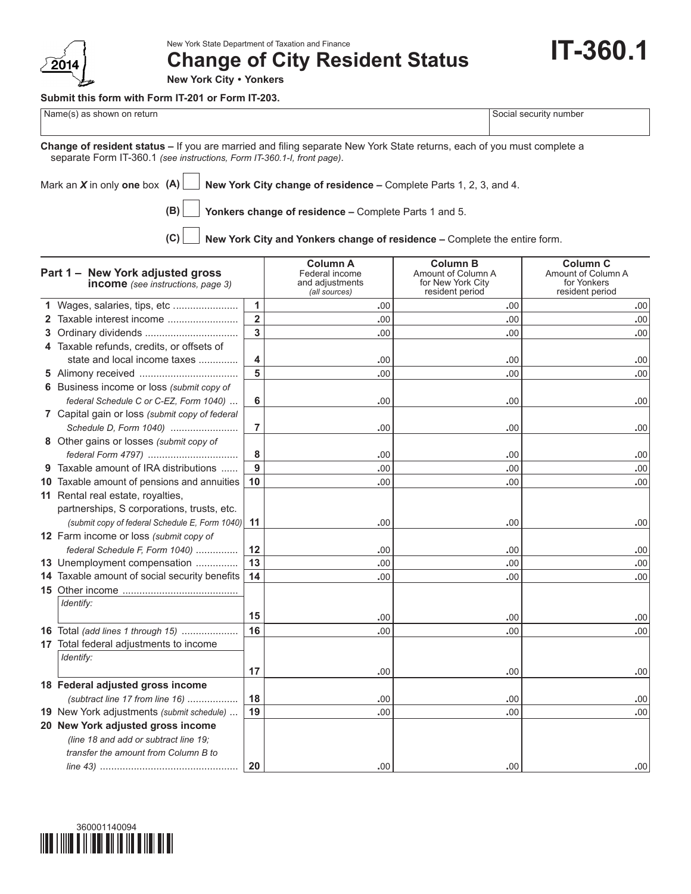

New York State Department of Taxation and Finance

**Change of City Resident Status**

**IT-360.1**

**New York City • Yonkers**

## **Submit this form with Form IT-201 or Form IT-203.**

Name(s) as shown on return  $\vert$  Social security number

**Change of resident status –** If you are married and filing separate New York State returns, each of you must complete a separate Form IT-360.1 *(see instructions, Form IT-360.1-I, front page)*.

Mark an *X* in only **one** box **(A) New York City change of residence –** Complete Parts 1, 2, 3, and 4.

**(B) Yonkers change of residence –** Complete Parts 1 and 5.

**(C) New York City and Yonkers change of residence –** Complete the entire form.

| Part 1 - New York adjusted gross<br><b>income</b> (see instructions, page 3) |                                                |                | <b>Column A</b><br>Federal income<br>and adjustments<br>(all sources) | <b>Column B</b><br>Amount of Column A<br>for New York City<br>resident period | <b>Column C</b><br>Amount of Column A<br>for Yonkers<br>resident period |  |
|------------------------------------------------------------------------------|------------------------------------------------|----------------|-----------------------------------------------------------------------|-------------------------------------------------------------------------------|-------------------------------------------------------------------------|--|
|                                                                              | 1 Wages, salaries, tips, etc                   | $\mathbf{1}$   | .00                                                                   | .00                                                                           | .00                                                                     |  |
| $\mathbf{2}$                                                                 | Taxable interest income                        | $\overline{2}$ | .00                                                                   | .00                                                                           | .00                                                                     |  |
| 3.                                                                           |                                                | 3              | .00                                                                   | .00                                                                           | .00                                                                     |  |
|                                                                              | 4 Taxable refunds, credits, or offsets of      |                |                                                                       |                                                                               |                                                                         |  |
|                                                                              | state and local income taxes                   | 4              | .00                                                                   | .00                                                                           | .00                                                                     |  |
|                                                                              |                                                | 5              | .00                                                                   | .00                                                                           | .00                                                                     |  |
|                                                                              | 6 Business income or loss (submit copy of      |                |                                                                       |                                                                               |                                                                         |  |
|                                                                              | federal Schedule C or C-EZ, Form 1040)         | 6              | .00                                                                   | .00                                                                           | .00                                                                     |  |
|                                                                              | 7 Capital gain or loss (submit copy of federal |                |                                                                       |                                                                               |                                                                         |  |
|                                                                              | Schedule D, Form 1040)                         | 7              | .00                                                                   | .00                                                                           | .00                                                                     |  |
|                                                                              | 8 Other gains or losses (submit copy of        |                |                                                                       |                                                                               |                                                                         |  |
|                                                                              | federal Form 4797)                             | 8              | .00                                                                   | .00                                                                           | .00                                                                     |  |
|                                                                              | 9 Taxable amount of IRA distributions          | $9$            | .00                                                                   | .00                                                                           | .00                                                                     |  |
|                                                                              | 10 Taxable amount of pensions and annuities    | 10             | .00                                                                   | .00                                                                           | .00                                                                     |  |
|                                                                              | 11 Rental real estate, royalties,              |                |                                                                       |                                                                               |                                                                         |  |
|                                                                              | partnerships, S corporations, trusts, etc.     |                |                                                                       |                                                                               |                                                                         |  |
|                                                                              | (submit copy of federal Schedule E, Form 1040) | 11             | .00                                                                   | .00                                                                           | .00                                                                     |  |
|                                                                              | 12 Farm income or loss (submit copy of         |                |                                                                       |                                                                               |                                                                         |  |
|                                                                              | federal Schedule F, Form 1040)                 | 12             | .00                                                                   | .00                                                                           | .00                                                                     |  |
|                                                                              | 13 Unemployment compensation                   | 13             | .00                                                                   | .00                                                                           | .00                                                                     |  |
|                                                                              | 14 Taxable amount of social security benefits  | 14             | .00                                                                   | .00                                                                           | .00                                                                     |  |
|                                                                              |                                                |                |                                                                       |                                                                               |                                                                         |  |
|                                                                              | Identify:                                      |                |                                                                       |                                                                               |                                                                         |  |
|                                                                              |                                                | 15             | .00                                                                   | .00                                                                           | .00                                                                     |  |
|                                                                              | 16 Total (add lines 1 through 15)              | 16             | .00                                                                   | .00                                                                           | .00                                                                     |  |
|                                                                              | 17 Total federal adjustments to income         |                |                                                                       |                                                                               |                                                                         |  |
|                                                                              | Identify:                                      |                |                                                                       |                                                                               |                                                                         |  |
|                                                                              |                                                | 17             | .00                                                                   | .00                                                                           | .00                                                                     |  |
|                                                                              | 18 Federal adjusted gross income               |                |                                                                       |                                                                               |                                                                         |  |
|                                                                              | (subtract line 17 from line 16)                | 18             | .00                                                                   | .00                                                                           | .00                                                                     |  |
|                                                                              | 19 New York adjustments (submit schedule)      | 19             | .00                                                                   | .00                                                                           | .00                                                                     |  |
|                                                                              | 20 New York adjusted gross income              |                |                                                                       |                                                                               |                                                                         |  |
|                                                                              | (line 18 and add or subtract line 19;          |                |                                                                       |                                                                               |                                                                         |  |
|                                                                              | transfer the amount from Column B to           |                |                                                                       |                                                                               |                                                                         |  |
|                                                                              |                                                | 20             | .00                                                                   | .00                                                                           | .00                                                                     |  |

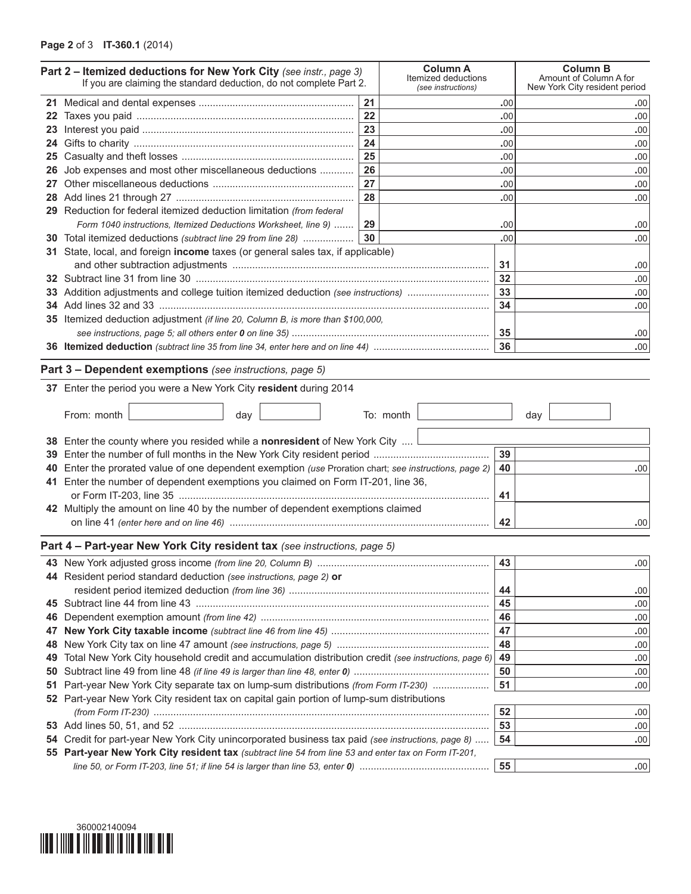## **Page 2** of 3 **IT-360.1** (2014)

|    | Part 2 - Itemized deductions for New York City (see instr., page 3)<br>If you are claiming the standard deduction, do not complete Part 2. | <b>Column A</b><br>Itemized deductions<br>(see instructions) |           | <b>Column B</b><br>Amount of Column A for<br>New York City resident period |            |  |  |
|----|--------------------------------------------------------------------------------------------------------------------------------------------|--------------------------------------------------------------|-----------|----------------------------------------------------------------------------|------------|--|--|
|    |                                                                                                                                            | 21                                                           |           | .00                                                                        | .00        |  |  |
|    |                                                                                                                                            | 22                                                           |           | .00                                                                        | .00        |  |  |
| 23 |                                                                                                                                            | 23                                                           |           | .00                                                                        | .00        |  |  |
|    |                                                                                                                                            | 24                                                           |           | .00                                                                        | .00        |  |  |
|    |                                                                                                                                            | 25                                                           |           | .00                                                                        | .00        |  |  |
| 26 | Job expenses and most other miscellaneous deductions                                                                                       | 26                                                           |           | .00                                                                        | .00        |  |  |
|    |                                                                                                                                            | 27                                                           | .00       |                                                                            | .00        |  |  |
|    |                                                                                                                                            | 28                                                           |           | .00                                                                        | .00        |  |  |
|    | 29 Reduction for federal itemized deduction limitation (from federal                                                                       |                                                              |           |                                                                            |            |  |  |
|    | Form 1040 instructions, Itemized Deductions Worksheet, line 9)                                                                             |                                                              | 29        |                                                                            | .00        |  |  |
|    | 30 Total itemized deductions (subtract line 29 from line 28)                                                                               | 30                                                           |           | .00                                                                        | .00        |  |  |
|    | 31 State, local, and foreign income taxes (or general sales tax, if applicable)                                                            |                                                              |           |                                                                            |            |  |  |
|    |                                                                                                                                            |                                                              | 31        | .00                                                                        |            |  |  |
|    |                                                                                                                                            |                                                              | 32        | .00                                                                        |            |  |  |
|    | 33 Addition adjustments and college tuition itemized deduction (see instructions)                                                          |                                                              |           | 33                                                                         | .00        |  |  |
|    |                                                                                                                                            |                                                              |           | 34                                                                         | .00        |  |  |
|    | 35 Itemized deduction adjustment (if line 20, Column B, is more than \$100,000,                                                            |                                                              |           |                                                                            |            |  |  |
|    |                                                                                                                                            |                                                              |           | 36                                                                         | .00        |  |  |
|    |                                                                                                                                            |                                                              |           |                                                                            | .00        |  |  |
|    | Part 3 - Dependent exemptions (see instructions, page 5)                                                                                   |                                                              |           |                                                                            |            |  |  |
|    | 37 Enter the period you were a New York City resident during 2014                                                                          |                                                              |           |                                                                            |            |  |  |
|    | From: month<br>day                                                                                                                         |                                                              | To: month |                                                                            | day        |  |  |
|    | 38 Enter the county where you resided while a nonresident of New York City $\Box$                                                          | 39                                                           |           |                                                                            |            |  |  |
| 39 |                                                                                                                                            |                                                              |           |                                                                            |            |  |  |
|    | Enter the prorated value of one dependent exemption (use Proration chart; see instructions, page 2)                                        | 40                                                           | .00       |                                                                            |            |  |  |
|    | 41 Enter the number of dependent exemptions you claimed on Form IT-201, line 36,                                                           |                                                              |           | 41                                                                         |            |  |  |
|    | 42 Multiply the amount on line 40 by the number of dependent exemptions claimed                                                            |                                                              |           |                                                                            |            |  |  |
|    |                                                                                                                                            | 42                                                           | .00       |                                                                            |            |  |  |
|    |                                                                                                                                            |                                                              |           |                                                                            |            |  |  |
|    | Part 4 - Part-year New York City resident tax (see instructions, page 5)                                                                   |                                                              |           |                                                                            |            |  |  |
|    |                                                                                                                                            |                                                              |           | 43                                                                         | .00        |  |  |
|    | 44 Resident period standard deduction (see instructions, page 2) or                                                                        |                                                              |           | 44                                                                         |            |  |  |
|    |                                                                                                                                            |                                                              |           |                                                                            | .00        |  |  |
|    |                                                                                                                                            |                                                              |           | 45<br>46                                                                   | .00        |  |  |
| 46 |                                                                                                                                            |                                                              |           |                                                                            | .00        |  |  |
| 47 |                                                                                                                                            | 47                                                           | .00       |                                                                            |            |  |  |
| 48 |                                                                                                                                            | 48                                                           | .00       |                                                                            |            |  |  |
| 49 | Total New York City household credit and accumulation distribution credit (see instructions, page 6)                                       | 49<br>50                                                     | .00       |                                                                            |            |  |  |
| 50 | Part-year New York City separate tax on lump-sum distributions (from Form IT-230)                                                          |                                                              |           |                                                                            | .00<br>.00 |  |  |
| 51 |                                                                                                                                            | 51                                                           |           |                                                                            |            |  |  |
|    | 52 Part-year New York City resident tax on capital gain portion of lump-sum distributions<br>52<br>.00                                     |                                                              |           |                                                                            |            |  |  |
|    |                                                                                                                                            | 53                                                           | .00       |                                                                            |            |  |  |
|    | 54 Credit for part-year New York City unincorporated business tax paid (see instructions, page 8)                                          |                                                              |           |                                                                            | .00        |  |  |
|    | 55 Part-year New York City resident tax (subtract line 54 from line 53 and enter tax on Form IT-201,                                       |                                                              |           |                                                                            |            |  |  |
|    |                                                                                                                                            |                                                              |           | 55                                                                         | .00        |  |  |